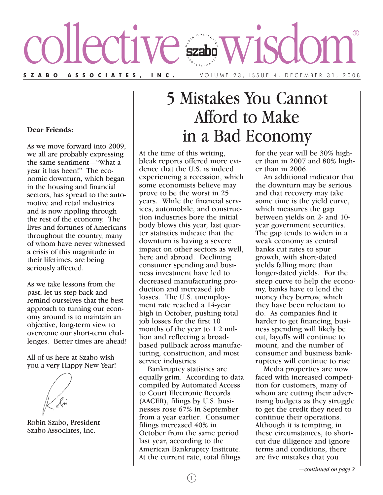

#### **Dear Friends:**

As we move forward into 2009, we all are probably expressing the same sentiment—"What a year it has been!" The economic downturn, which began in the housing and financial sectors, has spread to the automotive and retail industries and is now rippling through the rest of the economy. The lives and fortunes of Americans throughout the country, many of whom have never witnessed a crisis of this magnitude in their lifetimes, are being seriously affected.

As we take lessons from the past, let us step back and remind ourselves that the best approach to turning our economy around is to maintain an objective, long-term view to overcome our short-term challenges. Better times are ahead!

All of us here at Szabo wish you a very Happy New Year!

Robin Szabo, President Szabo Associates, Inc.

# 5 Mistakes You Cannot Afford to Make in a Bad Economy

At the time of this writing, bleak reports offered more evidence that the U.S. is indeed experiencing a recession, which some economists believe may prove to be the worst in 25 years. While the financial services, automobile, and construction industries bore the initial body blows this year, last quarter statistics indicate that the downturn is having a severe impact on other sectors as well, here and abroad. Declining consumer spending and business investment have led to decreased manufacturing production and increased job losses. The U.S. unemployment rate reached a 14-year high in October, pushing total job losses for the first 10 months of the year to 1.2 million and reflecting a broadbased pullback across manufacturing, construction, and most service industries.

Bankruptcy statistics are equally grim. According to data compiled by Automated Access to Court Electronic Records (AACER), filings by U.S. businesses rose 67% in September from a year earlier. Consumer filings increased 40% in October from the same period last year, according to the American Bankruptcy Institute. At the current rate, total filings

for the year will be 30% higher than in 2007 and 80% higher than in 2006.

An additional indicator that the downturn may be serious and that recovery may take some time is the yield curve, which measures the gap between yields on 2- and 10 year government securities. The gap tends to widen in a weak economy as central banks cut rates to spur growth, with short-dated yields falling more than longer-dated yields. For the steep curve to help the economy, banks have to lend the money they borrow, which they have been reluctant to do. As companies find it harder to get financing, business spending will likely be cut, layoffs will continue to mount, and the number of consumer and business bankruptcies will continue to rise.

Media properties are now faced with increased competition for customers, many of whom are cutting their advertising budgets as they struggle to get the credit they need to continue their operations. Although it is tempting, in these circumstances, to shortcut due diligence and ignore terms and conditions, there are five mistakes that you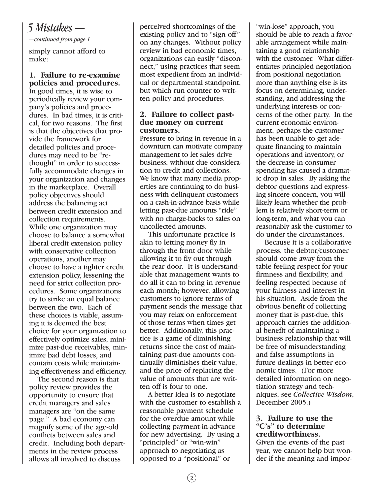# *5 Mistakes —*

*—continued from page 1*

simply cannot afford to make:

## **1. Failure to re-examine policies and procedures.**

In good times, it is wise to periodically review your company's policies and procedures. In bad times, it is critical, for two reasons. The first is that the objectives that provide the framework for detailed policies and procedures may need to be "rethought" in order to successfully accommodate changes in your organization and changes in the marketplace. Overall policy objectives should address the balancing act between credit extension and collection requirements. While one organization may choose to balance a somewhat liberal credit extension policy with conservative collection operations, another may choose to have a tighter credit extension policy, lessening the need for strict collection procedures. Some organizations try to strike an equal balance between the two. Each of these choices is viable, assuming it is deemed the best choice for your organization to effectively optimize sales, minimize past-due receivables, minimize bad debt losses, and contain costs while maintaining effectiveness and efficiency.

The second reason is that policy review provides the opportunity to ensure that credit managers and sales managers are "on the same page." A bad economy can magnify some of the age-old conflicts between sales and credit. Including both departments in the review process allows all involved to discuss

perceived shortcomings of the existing policy and to "sign off" on any changes. Without policy review in bad economic times, organizations can easily "disconnect," using practices that seem most expedient from an individual or departmental standpoint, but which run counter to written policy and procedures.

#### **2. Failure to collect pastdue money on current customers.**

Pressure to bring in revenue in a downturn can motivate company management to let sales drive business, without due consideration to credit and collections. We know that many media properties are continuing to do business with delinquent customers on a cash-in-advance basis while letting past-due amounts "ride" with no charge-backs to sales on uncollected amounts.

This unfortunate practice is akin to letting money fly in through the front door while allowing it to fly out through the rear door. It is understandable that management wants to do all it can to bring in revenue each month; however, allowing customers to ignore terms of payment sends the message that you may relax on enforcement of those terms when times get better. Additionally, this practice is a game of diminishing returns since the cost of maintaining past-due amounts continually diminishes their value, and the price of replacing the value of amounts that are written off is four to one.

A better idea is to negotiate with the customer to establish a reasonable payment schedule for the overdue amount while collecting payment-in-advance for new advertising. By using a "principled" or "win-win" approach to negotiating as opposed to a "positional" or

"win-lose" approach, you should be able to reach a favorable arrangement while maintaining a good relationship with the customer. What differentiates principled negotiation from positional negotiation more than anything else is its focus on determining, understanding, and addressing the underlying interests or concerns of the other party. In the current economic environment, perhaps the customer has been unable to get adequate financing to maintain operations and inventory, or the decrease in consumer spending has caused a dramatic drop in sales. By asking the debtor questions and expressing sincere concern, you will likely learn whether the problem is relatively short-term or long-term, and what you can reasonably ask the customer to do under the circumstances.

Because it is a collaborative process, the debtor/customer should come away from the table feeling respect for your firmness and flexibility, and feeling respected because of your fairness and interest in his situation. Aside from the obvious benefit of collecting money that is past-due, this approach carries the additional benefit of maintaining a business relationship that will be free of misunderstanding and false assumptions in future dealings in better economic times. (For more detailed information on negotiation strategy and techniques, see *Collective Wisdom*, December 2005.)

#### **3. Failure to use the "C's" to determine creditworthiness.**

Given the events of the past year, we cannot help but wonder if the meaning and impor-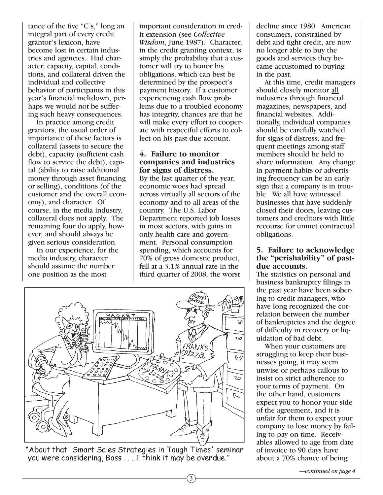tance of the five "C's," long an integral part of every credit grantor's lexicon, have become lost in certain industries and agencies. Had character, capacity, capital, conditions, and collateral driven the individual and collective behavior of participants in this year's financial meltdown, perhaps we would not be suffering such heavy consequences.

In practice among credit grantors, the usual order of importance of these factors is collateral (assets to secure the debt), capacity (sufficient cash flow to service the debt), capital (ability to raise additional money through asset financing or selling), conditions (of the customer and the overall economy), and character. Of course, in the media industry, collateral does not apply. The remaining four do apply, however, and should always be given serious consideration.

In our experience, for the media industry, character should assume the number one position as the most

important consideration in credit extension (see *Collective Wisdom*, June 1987). Character, in the credit granting context, is simply the probability that a customer will try to honor his obligations, which can best be determined by the prospect's payment history. If a customer experiencing cash flow problems due to a troubled economy has integrity, chances are that he will make every effort to cooperate with respectful efforts to collect on his past-due account.

#### **4. Failure to monitor companies and industries for signs of distress.**

By the last quarter of the year, economic woes had spread across virtually all sectors of the economy and to all areas of the country. The U.S. Labor Department reported job losses in most sectors, with gains in only health care and government. Personal consumption spending, which accounts for 70% of gross domestic product, fell at a 3.1% annual rate in the third quarter of 2008, the worst

3



"About that 'Smart Sales Strategies in Tough Times' seminar you were considering, Boss . . . I think it may be overdue."

decline since 1980. American consumers, constrained by debt and tight credit, are now no longer able to buy the goods and services they became accustomed to buying in the past.

At this time, credit managers should closely monitor all industries through financial magazines, newspapers, and financial websites. Additionally, individual companies should be carefully watched for signs of distress, and frequent meetings among staff members should be held to share information. Any change in payment habits or advertising frequency can be an early sign that a company is in trouble. We all have witnessed businesses that have suddenly closed their doors, leaving customers and creditors with little recourse for unmet contractual obligations.

### **5. Failure to acknowledge the "perishability" of pastdue accounts.**

The statistics on personal and business bankruptcy filings in the past year have been sobering to credit managers, who have long recognized the correlation between the number of bankruptcies and the degree of difficulty in recovery or liquidation of bad debt.

When your customers are struggling to keep their businesses going, it may seem unwise or perhaps callous to insist on strict adherence to your terms of payment. On the other hand, customers expect you to honor your side of the agreement, and it is unfair for them to expect your company to lose money by failing to pay on time. Receivables allowed to age from date of invoice to 90 days have about a 70% chance of being